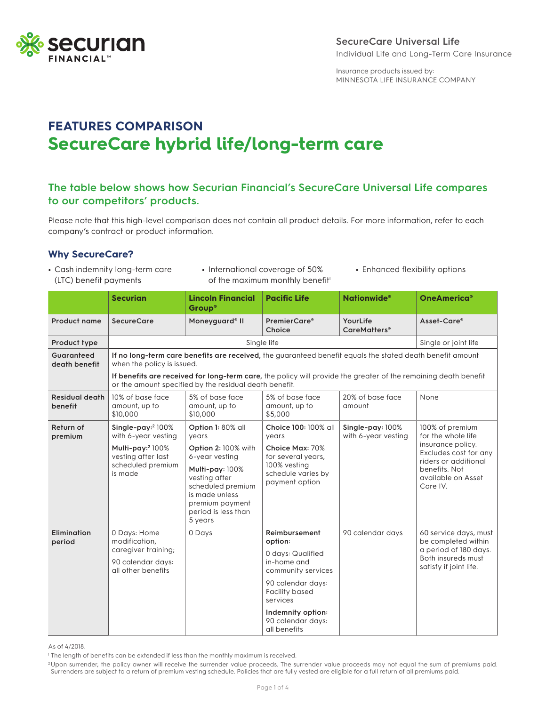

## **SecureCare Universal Life** Individual Life and Long-Term Care Insurance

Insurance products issued by: MINNESOTA LIFE INSURANCE COMPANY

# **FEATURES COMPARISON SecureCare hybrid life/long-term care**

# **The table below shows how Securian Financial's SecureCare Universal Life compares to our competitors' products.**

Please note that this high-level comparison does not contain all product details. For more information, refer to each company's contract or product information.

## **Why SecureCare?**

- **•** Cash indemnity long-term care (LTC) benefit payments
- **•** International coverage of 50% of the maximum monthly benefit<sup>1</sup>
- **•** Enhanced flexibility options

|                                  | <b>Securian</b>                                                                                                                                                           | <b>Lincoln Financial</b><br>Group®                                                                                                                                    | <b>Pacific Life</b>                                                                                                                                                                             | <b>Nationwide</b> <sup>®</sup>              | OneAmerica®                                                                                                           |  |  |
|----------------------------------|---------------------------------------------------------------------------------------------------------------------------------------------------------------------------|-----------------------------------------------------------------------------------------------------------------------------------------------------------------------|-------------------------------------------------------------------------------------------------------------------------------------------------------------------------------------------------|---------------------------------------------|-----------------------------------------------------------------------------------------------------------------------|--|--|
| Product name                     | <b>SecureCare</b>                                                                                                                                                         | Moneyguard <sup>®</sup> II                                                                                                                                            | <b>PremierCare®</b><br>Choice                                                                                                                                                                   | YourLife<br><b>CareMatters</b> <sup>®</sup> | Asset-Care®                                                                                                           |  |  |
| Product type                     |                                                                                                                                                                           | Single or joint life                                                                                                                                                  |                                                                                                                                                                                                 |                                             |                                                                                                                       |  |  |
| Guaranteed<br>death benefit      | If no long-term care benefits are received, the guaranteed benefit equals the stated death benefit amount<br>when the policy is issued.                                   |                                                                                                                                                                       |                                                                                                                                                                                                 |                                             |                                                                                                                       |  |  |
|                                  | If benefits are received for long-term care, the policy will provide the greater of the remaining death benefit<br>or the amount specified by the residual death benefit. |                                                                                                                                                                       |                                                                                                                                                                                                 |                                             |                                                                                                                       |  |  |
| <b>Residual death</b><br>benefit | 10% of base face<br>amount, up to<br>\$10,000                                                                                                                             | 5% of base face<br>amount, up to<br>\$10,000                                                                                                                          | 5% of base face<br>amount, up to<br>\$5,000                                                                                                                                                     | 20% of base face<br>amount                  | None                                                                                                                  |  |  |
| Return of<br>premium             | Single-pay: $2100\%$<br>with 6-year vesting                                                                                                                               | Option 1: 80% all<br>vears                                                                                                                                            | Choice 100: 100% all<br>years                                                                                                                                                                   | Single-pay: 100%<br>with 6-year vesting     | 100% of premium<br>for the whole life                                                                                 |  |  |
|                                  | Multi-pay: <sup>2</sup> 100%<br>vesting after last<br>scheduled premium<br>is made                                                                                        | Option 2: 100% with<br>6-year vesting<br>Multi-pay: 100%<br>vesting after<br>scheduled premium<br>is made unless<br>premium payment<br>period is less than<br>5 years | Choice Max: 70%<br>for several years,<br>100% vesting<br>schedule varies by<br>payment option                                                                                                   |                                             | insurance policy.<br>Excludes cost for any<br>riders or additional<br>benefits. Not<br>available on Asset<br>Care IV. |  |  |
| <b>Elimination</b><br>period     | 0 Days: Home<br>modification,<br>caregiver training;<br>90 calendar days:<br>all other benefits                                                                           | 0 Days                                                                                                                                                                | Reimbursement<br>option:<br>0 days: Qualified<br>in-home and<br>community services<br>90 calendar days:<br>Facility based<br>services<br>Indemnity option:<br>90 calendar days:<br>all benefits | 90 calendar days                            | 60 service days, must<br>be completed within<br>a period of 180 days.<br>Both insureds must<br>satisfy if joint life. |  |  |

As of 4/2018.

<sup>1</sup> The length of benefits can be extended if less than the monthly maximum is received.

<sup>2</sup>Upon surrender, the policy owner will receive the surrender value proceeds. The surrender value proceeds may not equal the sum of premiums paid. Surrenders are subject to a return of premium vesting schedule. Policies that are fully vested are eligible for a full return of all premiums paid.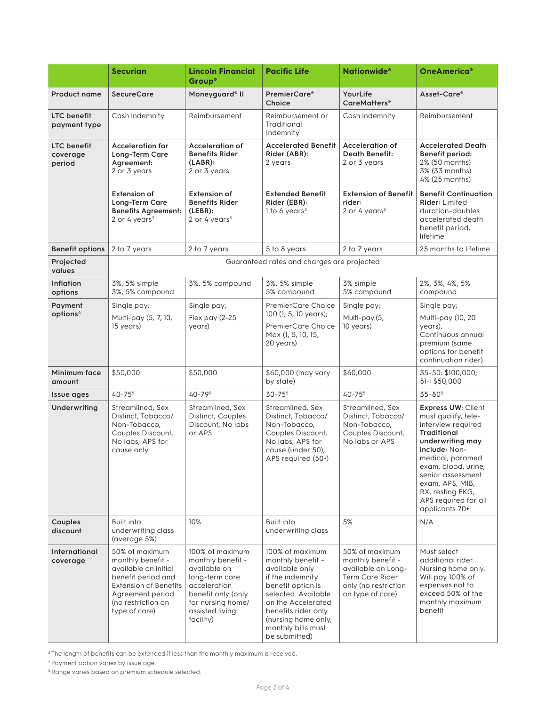|                                    | <b>Securian</b>                                                                                                                                                              | <b>Lincoln Financial</b><br><b>Group®</b>                                                                                                                         | <b>Pacific Life</b>                                                                                                                                                                                                               | <b>Nationwide</b> <sup>®</sup>                                                                                                  | OneAmerica®                                                                                                                                                                                                                                                                        |
|------------------------------------|------------------------------------------------------------------------------------------------------------------------------------------------------------------------------|-------------------------------------------------------------------------------------------------------------------------------------------------------------------|-----------------------------------------------------------------------------------------------------------------------------------------------------------------------------------------------------------------------------------|---------------------------------------------------------------------------------------------------------------------------------|------------------------------------------------------------------------------------------------------------------------------------------------------------------------------------------------------------------------------------------------------------------------------------|
| <b>Product name</b>                | <b>SecureCare</b>                                                                                                                                                            | Moneyguard <sup>®</sup> II                                                                                                                                        | <b>PremierCare®</b><br>Choice                                                                                                                                                                                                     | YourLife<br><b>CareMatters</b> <sup>®</sup>                                                                                     | Asset-Care®                                                                                                                                                                                                                                                                        |
| <b>LTC</b> benefit<br>payment type | Cash indemnity                                                                                                                                                               | Reimbursement                                                                                                                                                     | Reimbursement or<br>Traditional<br>Indemnity                                                                                                                                                                                      | Cash indemnity                                                                                                                  | Reimbursement                                                                                                                                                                                                                                                                      |
| LTC benefit<br>coverage<br>period  | <b>Acceleration for</b><br>Long-Term Care<br>Agreement:<br>2 or 3 years                                                                                                      | Acceleration of<br><b>Benefits Rider</b><br>$(LABR)$ :<br>2 or 3 years                                                                                            | <b>Accelerated Benefit</b><br>Rider (ABR):<br>2 years                                                                                                                                                                             | <b>Acceleration of</b><br><b>Death Benefit:</b><br>2 or 3 years                                                                 | <b>Accelerated Death</b><br>Benefit period:<br>2% (50 months)<br>3% (33 months)<br>4% (25 months)                                                                                                                                                                                  |
|                                    | <b>Extension of</b><br>Long-Term Care<br><b>Benefits Agreement:</b><br>2 or 4 years $3$                                                                                      | <b>Extension of</b><br><b>Benefits Rider</b><br>(LEBR):<br>2 or 4 years $3$                                                                                       | <b>Extended Benefit</b><br>Rider (EBR):<br>1 to 6 years <sup>3</sup>                                                                                                                                                              | <b>Extension of Benefit</b><br>rider:<br>2 or 4 years $3$                                                                       | <b>Benefit Continuation</b><br><b>Rider: Limited</b><br>duration-doubles<br>accelerated death<br>benefit period,<br>lifetime                                                                                                                                                       |
| <b>Benefit options</b>             | 2 to 7 years                                                                                                                                                                 | 2 to 7 years                                                                                                                                                      | 5 to 8 years                                                                                                                                                                                                                      | 2 to 7 years                                                                                                                    | 25 months to lifetime                                                                                                                                                                                                                                                              |
| Projected<br>values                |                                                                                                                                                                              |                                                                                                                                                                   | Guaranteed rates and charges are projected                                                                                                                                                                                        |                                                                                                                                 |                                                                                                                                                                                                                                                                                    |
| Inflation<br>options               | 3%, 5% simple<br>3%, 5% compound                                                                                                                                             | 3%, 5% compound                                                                                                                                                   | 3%, 5% simple<br>5% compound                                                                                                                                                                                                      | 3% simple<br>5% compound                                                                                                        | 2%, 3%, 4%, 5%<br>compound                                                                                                                                                                                                                                                         |
| Payment                            | Single pay;                                                                                                                                                                  | Single pay;                                                                                                                                                       | <b>PremierCare Choice</b><br>100 (1, 5, 10 years);<br><b>PremierCare Choice</b><br>Max (1, 5, 10, 15,<br>20 years)                                                                                                                | Single pay;                                                                                                                     | Single pay;                                                                                                                                                                                                                                                                        |
| options <sup>4</sup>               | Multi-pay (5, 7, 10,<br>15 years)                                                                                                                                            | Flex pay (2-25<br>years)                                                                                                                                          |                                                                                                                                                                                                                                   | Multi-pay (5,<br>10 years)                                                                                                      | Multi-pay (10, 20<br>years),<br>Continuous annual<br>premium (same<br>options for benefit<br>continuation rider)                                                                                                                                                                   |
| Minimum face<br>amount             | \$50,000                                                                                                                                                                     | \$50,000                                                                                                                                                          | \$60,000 (may vary<br>by state)                                                                                                                                                                                                   | \$60,000                                                                                                                        | 35-50: \$100,000;<br>51: \$50,000                                                                                                                                                                                                                                                  |
| Issue ages                         | $40 - 755$                                                                                                                                                                   | $40 - 795$                                                                                                                                                        | $30 - 755$                                                                                                                                                                                                                        | $40 - 75^{5}$                                                                                                                   | $35 - 805$                                                                                                                                                                                                                                                                         |
| Underwriting                       | Streamlined, Sex<br>Distinct, Tobacco/<br>Non-Tobacco,<br>Couples Discount,<br>No labs; APS for<br>cause only                                                                | Streamlined, Sex<br>Distinct, Couples<br>Discount, No labs<br>or APS                                                                                              | Streamlined, Sex<br>Distinct, Tobacco/<br>Non-Tobacco,<br>Couples Discount,<br>No labs; APS for<br>cause (under 50),<br>APS required (50+)                                                                                        | Streamlined, Sex<br>Distinct, Tobacco/<br>Non-Tobacco,<br>Couples Discount,<br>No labs or APS                                   | <b>Express UW: Client</b><br>must qualify, tele-<br>interview required<br><b>Traditional</b><br>underwriting may<br>include: Non-<br>medical, paramed<br>exam, blood, urine,<br>senior assessment<br>exam, APS, MIB,<br>RX, resting EKG,<br>APS required for all<br>applicants 70+ |
| Couples<br>discount                | Built into<br>underwriting class<br>(average 5%)                                                                                                                             | 10%                                                                                                                                                               | <b>Built into</b><br>underwriting class                                                                                                                                                                                           | 5%                                                                                                                              | N/A                                                                                                                                                                                                                                                                                |
| International<br>coverage          | 50% of maximum<br>monthly benefit -<br>available on initial<br>benefit period and<br><b>Extension of Benefits</b><br>Agreement period<br>(no restriction on<br>type of care) | 100% of maximum<br>monthly benefit -<br>available on<br>long-term care<br>acceleration<br>benefit only (only<br>for nursing home/<br>assisted living<br>facility) | 100% of maximum<br>monthly benefit -<br>available only<br>if the indemnity<br>benefit option is<br>selected. Available<br>on the Accelerated<br>benefits rider only<br>(nursing home only,<br>monthly bills must<br>be submitted) | 50% of maximum<br>monthly benefit -<br>available on Long-<br><b>Term Care Rider</b><br>only (no restriction<br>on type of care) | Must select<br>additional rider.<br>Nursing home only.<br>Will pay 100% of<br>expenses not to<br>exceed 50% of the<br>monthly maximum<br>benefit                                                                                                                                   |

<sup>3</sup> The length of benefits can be extended if less than the monthly maximum is received.

4 Payment option varies by issue age.

<sup>5</sup> Range varies based on premium schedule selected.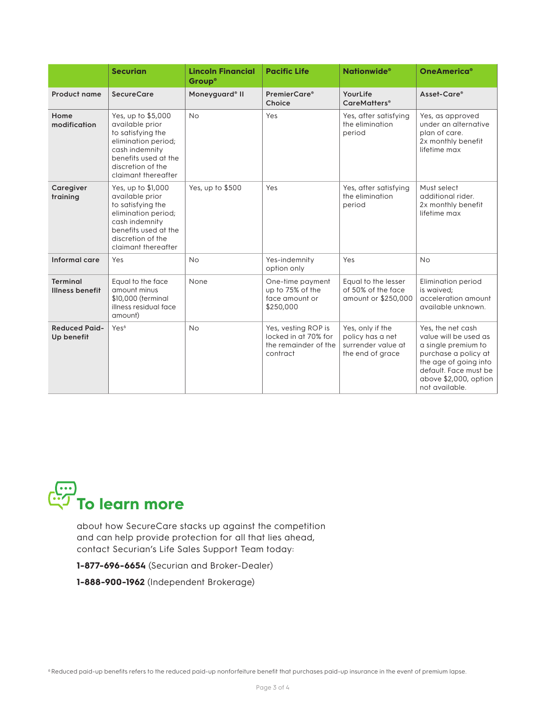|                                           | <b>Securian</b>                                                                                                                                                         | <b>Lincoln Financial</b><br>Group® | <b>Pacific Life</b>                                                             | <b>Nationwide<sup>®</sup></b>                                                  | <b>OneAmerica<sup>®</sup></b>                                                                                                                                                          |
|-------------------------------------------|-------------------------------------------------------------------------------------------------------------------------------------------------------------------------|------------------------------------|---------------------------------------------------------------------------------|--------------------------------------------------------------------------------|----------------------------------------------------------------------------------------------------------------------------------------------------------------------------------------|
| Product name                              | <b>SecureCare</b>                                                                                                                                                       | Moneyguard <sup>®</sup> II         | PremierCare <sup>®</sup><br>Choice                                              | YourLife<br><b>CareMatters</b> <sup>®</sup>                                    | Asset-Care®                                                                                                                                                                            |
| Home<br>modification                      | Yes, up to \$5,000<br>available prior<br>to satisfying the<br>elimination period;<br>cash indemnity<br>benefits used at the<br>discretion of the<br>claimant thereafter | <b>No</b>                          | Yes                                                                             | Yes, after satisfying<br>the elimination<br>period                             | Yes, as approved<br>under an alternative<br>plan of care.<br>2x monthly benefit<br>lifetime max                                                                                        |
| Caregiver<br>training                     | Yes, up to \$1,000<br>available prior<br>to satisfying the<br>elimination period;<br>cash indemnity<br>benefits used at the<br>discretion of the<br>claimant thereafter | Yes, up to \$500                   | Yes                                                                             | Yes, after satisfying<br>the elimination<br>period                             | Must select<br>additional rider.<br>2x monthly benefit<br>lifetime max                                                                                                                 |
| Informal care                             | Yes                                                                                                                                                                     | <b>No</b>                          | Yes-indemnity<br>option only                                                    | Yes                                                                            | <b>No</b>                                                                                                                                                                              |
| <b>Terminal</b><br><b>Illness benefit</b> | Equal to the face<br>amount minus<br>\$10,000 (terminal<br>illness residual face<br>amount)                                                                             | None                               | One-time payment<br>up to 75% of the<br>face amount or<br>\$250,000             | Equal to the lesser<br>of 50% of the face<br>amount or \$250,000               | <b>Elimination period</b><br>is waived:<br>acceleration amount<br>available unknown.                                                                                                   |
| <b>Reduced Paid-</b><br>Up benefit        | Yes <sup>6</sup>                                                                                                                                                        | <b>No</b>                          | Yes, vesting ROP is<br>locked in at 70% for<br>the remainder of the<br>contract | Yes, only if the<br>policy has a net<br>surrender value at<br>the end of grace | Yes, the net cash<br>value will be used as<br>a single premium to<br>purchase a policy at<br>the age of going into<br>default. Face must be<br>above \$2,000, option<br>not available. |



about how SecureCare stacks up against the competition and can help provide protection for all that lies ahead, contact Securian's Life Sales Support Team today:

**1-877-696-6654** (Securian and Broker-Dealer)

**1-888-900-1962** (Independent Brokerage)